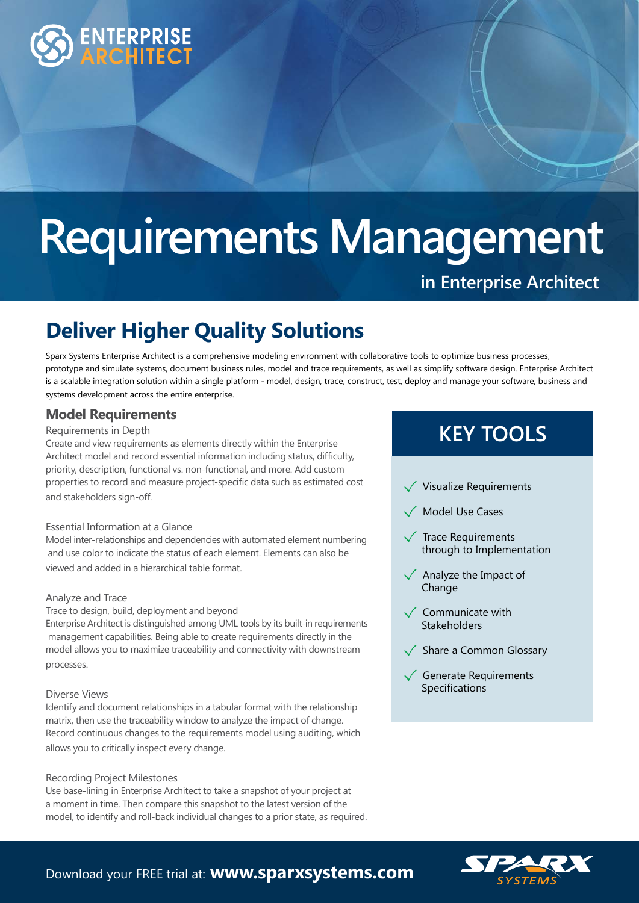

# **Requirements Management**

# **in Enterprise Architect**

# **Deliver Higher Quality Solutions**

Sparx Systems Enterprise Architect is a comprehensive modeling environment with collaborative tools to optimize business processes, prototype and simulate systems, document business rules, model and trace requirements, as well as simplify software design. Enterprise Architect is a scalable integration solution within a single platform - model, design, trace, construct, test, deploy and manage your software, business and systems development across the entire enterprise.

# **Model Requirements**

### Requirements in Depth

Create and view requirements as elements directly within the Enterprise Architect model and record essential information including status, difficulty, priority, description, functional vs. non-functional, and more. Add custom properties to record and measure project-specific data such as estimated cost and stakeholders sign-off.

### Essential Information at a Glance

Model inter-relationships and dependencies with automated element numbering and use color to indicate the status of each element. Elements can also be viewed and added in a hierarchical table format.

#### Analyze and Trace

Trace to design, build, deployment and beyond

Enterprise Architect is distinguished among UML tools by its built-in requirements management capabilities. Being able to create requirements directly in the model allows you to maximize traceability and connectivity with downstream processes.

### Diverse Views

Identify and document relationships in a tabular format with the relationship matrix, then use the traceability window to analyze the impact of change. Record continuous changes to the requirements model using auditing, which allows you to critically inspect every change.

### Recording Project Milestones

Use base-lining in Enterprise Architect to take a snapshot of your project at a moment in time. Then compare this snapshot to the latest version of the model, to identify and roll-back individual changes to a prior state, as required.

# **KEY TOOLS**

- $\sqrt{\ }$  Visualize Requirements
- Model Use Cases
- Trace Requirements through to Implementation
- Analyze the Impact of **Change**
- $\checkmark$  Communicate with **Stakeholders**
- $\sqrt{\phantom{a}}$  Share a Common Glossary
- Generate Requirements Specifications



Download your FREE trial at: **www.sparxsystems.com**